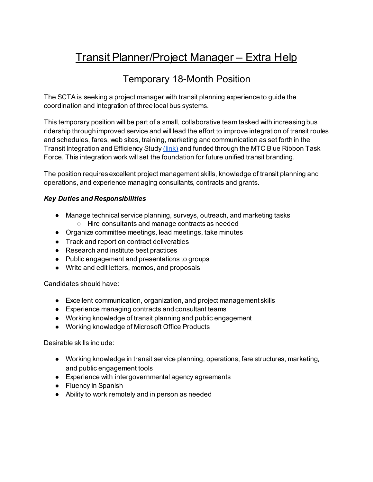# Transit Planner/Project Manager – Extra Help

# Temporary 18-Month Position

The SCTA is seeking a project manager with transit planning experience to guide the coordination and integration of three local bus systems.

This temporary position will be part of a small, collaborative team tasked with increasing bus ridership through improved service and will lead the effort to improve integration of transit routes and schedules, fares, web sites, training, marketing and communication as set forth in the Transit Integration and Efficiency Stud[y \(link\)](https://scta.ca.gov/wp-content/uploads/2020/05/TIES-Final-Report_11.4.19.pdf) and funded through the MTC Blue Ribbon Task Force. This integration work will set the foundation for future unified transit branding.

The position requires excellent project management skills, knowledge of transit planning and operations, and experience managing consultants, contracts and grants.

# *Key Duties and Responsibilities*

- Manage technical service planning, surveys, outreach, and marketing tasks ○ Hire consultants and manage contracts as needed
- Organize committee meetings, lead meetings, take minutes
- Track and report on contract deliverables
- Research and institute best practices
- Public engagement and presentations to groups
- Write and edit letters, memos, and proposals

Candidates should have:

- Excellent communication, organization, and project management skills
- Experience managing contracts and consultant teams
- Working knowledge of transit planning and public engagement
- Working knowledge of Microsoft Office Products

Desirable skills include:

- Working knowledge in transit service planning, operations, fare structures, marketing, and public engagement tools
- Experience with intergovernmental agency agreements
- Fluency in Spanish
- Ability to work remotely and in person as needed